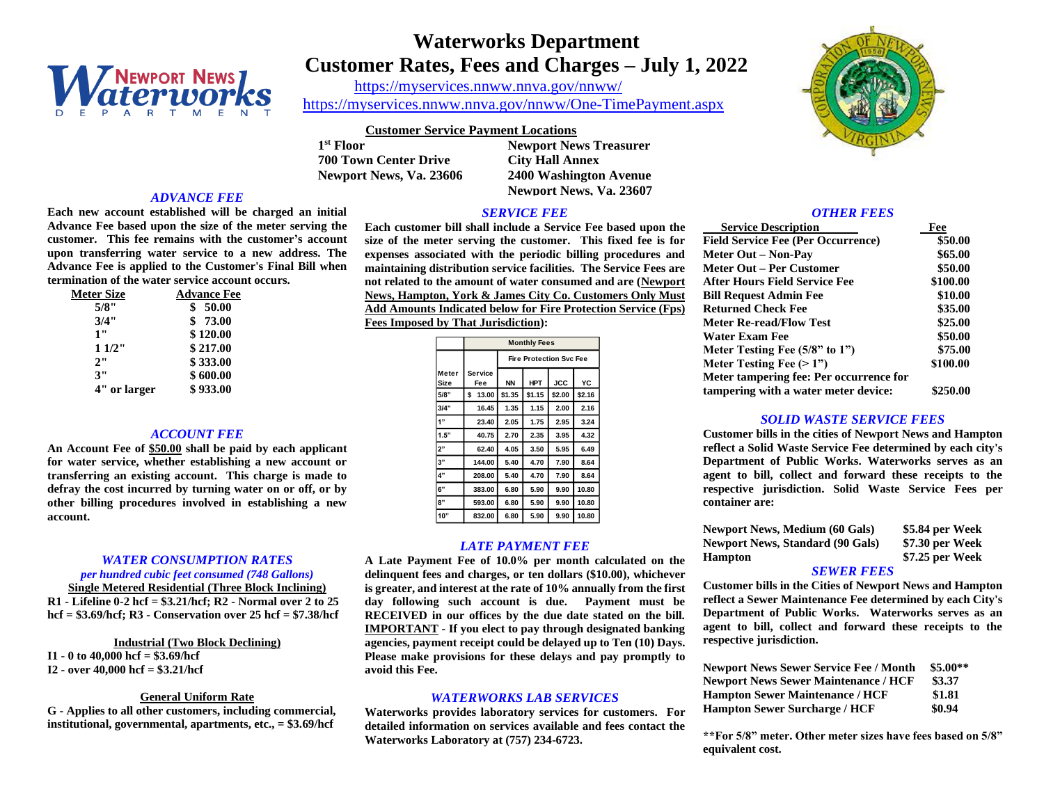

# **Waterworks Department Customer Rates, Fees and Charges – July 1, 2022**

<https://myservices.nnww.nnva.gov/nnww/>

<https://myservices.nnww.nnva.gov/nnww/One-TimePayment.aspx>

### **Customer Service Payment Locations**

 $1<sup>st</sup>$  Floor **700 Town Center Drive City Hall Annex Newport News, Va. 23606 2400 Washington Avenue** 

**Newport News Treasurer Newport News, Va. 23607**

# *ADVANCE FEE*

**Each new account established will be charged an initial Advance Fee based upon the size of the meter serving the**  customer. This fee remains with the customer's account **upon transferring water service to a new address. The Advance Fee is applied to the Customer's Final Bill when termination of the water service account occurs.**

| Meter Size   | <b>Advance Fee</b> |
|--------------|--------------------|
| 5/8"         | 50.00<br>\$        |
| 3/4"         | \$73.00            |
| 1"           | \$120.00           |
| 11/2"        | \$217.00           |
| 2"           | \$333.00           |
| 3"           | \$600.00           |
| 4" or larger | \$933.00           |

# *ACCOUNT FEE*

**An Account Fee of \$50.00 shall be paid by each applicant for water service, whether establishing a new account or transferring an existing account. This charge is made to defray the cost incurred by turning water on or off, or by other billing procedures involved in establishing a new account.**

#### *WATER CONSUMPTION RATES*

*per hundred cubic feet consumed (748 Gallons)*

**Single Metered Residential (Three Block Inclining) R1 - Lifeline 0-2 hcf = \$3.21/hcf; R2 - Normal over 2 to 25 hcf = \$3.69/hcf; R3 - Conservation over 25 hcf = \$7.38/hcf**

#### **Industrial (Two Block Declining)**

**I1 - 0 to 40,000 hcf = \$3.69/hcf I2 - over 40,000 hcf = \$3.21/hcf**

#### **General Uniform Rate**

**G - Applies to all other customers, including commercial, institutional, governmental, apartments, etc., = \$3.69/hcf**

# *SERVICE FEE*

**Each customer bill shall include a Service Fee based upon the size of the meter serving the customer. This fixed fee is for expenses associated with the periodic billing procedures and maintaining distribution service facilities. The Service Fees are not related to the amount of water consumed and are (Newport News, Hampton, York & James City Co. Customers Only Must Add Amounts Indicated below for Fire Protection Service (Fps) Fees Imposed by That Jurisdiction):** 

|               | <b>Monthly Fees</b>            |           |            |            |        |
|---------------|--------------------------------|-----------|------------|------------|--------|
|               | <b>Fire Protection Svc Fee</b> |           |            |            |        |
| Meter<br>Size | <b>Service</b><br>Fee          | <b>NN</b> | <b>HPT</b> | <b>JCC</b> | YC     |
| 5/8"          | 13.00<br>\$                    | \$1.35    | \$1.15     | \$2.00     | \$2.16 |
| 3/4"          | 16.45                          | 1.35      | 1.15       | 2.00       | 2.16   |
| 1"            | 23.40                          | 2.05      | 1.75       | 2.95       | 3.24   |
| 1.5"          | 40.75                          | 2.70      | 2.35       | 3.95       | 4.32   |
| 2"            | 62.40                          | 4.05      | 3.50       | 5.95       | 6.49   |
| 3"            | 144.00                         | 5.40      | 4.70       | 7.90       | 8.64   |
| 4"            | 208.00                         | 5.40      | 4.70       | 7.90       | 8.64   |
| 6"            | 383.00                         | 6.80      | 5.90       | 9.90       | 10.80  |
| 8"            | 593.00                         | 6.80      | 5.90       | 9.90       | 10.80  |
| 10"           | 832.00                         | 6.80      | 5.90       | 9.90       | 10.80  |

#### *LATE PAYMENT FEE*

**A Late Payment Fee of 10.0% per month calculated on the delinquent fees and charges, or ten dollars (\$10.00), whichever is greater, and interest at the rate of 10% annually from the first day following such account is due. Payment must be RECEIVED in our offices by the due date stated on the bill. IMPORTANT - If you elect to pay through designated banking agencies, payment receipt could be delayed up to Ten (10) Days. Please make provisions for these delays and pay promptly to avoid this Fee.**

#### *WATERWORKS LAB SERVICES*

**Waterworks provides laboratory services for customers. For detailed information on services available and fees contact the Waterworks Laboratory at (757) 234-6723.**



#### *OTHER FEES*

| <b>Service Description</b>                | Fee      |
|-------------------------------------------|----------|
| <b>Field Service Fee (Per Occurrence)</b> | \$50.00  |
| Meter Out – Non-Pav                       | \$65.00  |
| Meter Out – Per Customer                  | \$50.00  |
| After Hours Field Service Fee             | \$100.00 |
| <b>Bill Request Admin Fee</b>             | \$10.00  |
| <b>Returned Check Fee</b>                 | \$35.00  |
| <b>Meter Re-read/Flow Test</b>            | \$25.00  |
| Water Exam Fee                            | \$50.00  |
| Meter Testing Fee (5/8" to 1")            | \$75.00  |
| Meter Testing Fee $(>1")$                 | \$100.00 |
| Meter tampering fee: Per occurrence for   |          |
| tampering with a water meter device:      | \$250.00 |

#### *SOLID WASTE SERVICE FEES*

**Customer bills in the cities of Newport News and Hampton reflect a Solid Waste Service Fee determined by each city's Department of Public Works. Waterworks serves as an agent to bill, collect and forward these receipts to the respective jurisdiction. Solid Waste Service Fees per container are:**

| <b>Newport News, Medium (60 Gals)</b>   | \$5.84 per Week |
|-----------------------------------------|-----------------|
| <b>Newport News, Standard (90 Gals)</b> | \$7.30 per Week |
| Hampton                                 | \$7.25 per Week |

#### *SEWER FEES*

**Customer bills in the Cities of Newport News and Hampton reflect a Sewer Maintenance Fee determined by each City's Department of Public Works. Waterworks serves as an agent to bill, collect and forward these receipts to the respective jurisdiction.** 

| <b>Newport News Sewer Service Fee / Month</b> | $$5.00**$ |
|-----------------------------------------------|-----------|
| <b>Newport News Sewer Maintenance / HCF</b>   | \$3.37    |
| <b>Hampton Sewer Maintenance / HCF</b>        | \$1.81    |
| <b>Hampton Sewer Surcharge / HCF</b>          | \$0.94    |

**\*\*For 5/8" meter. Other meter sizes have fees based on 5/8" equivalent cost.**